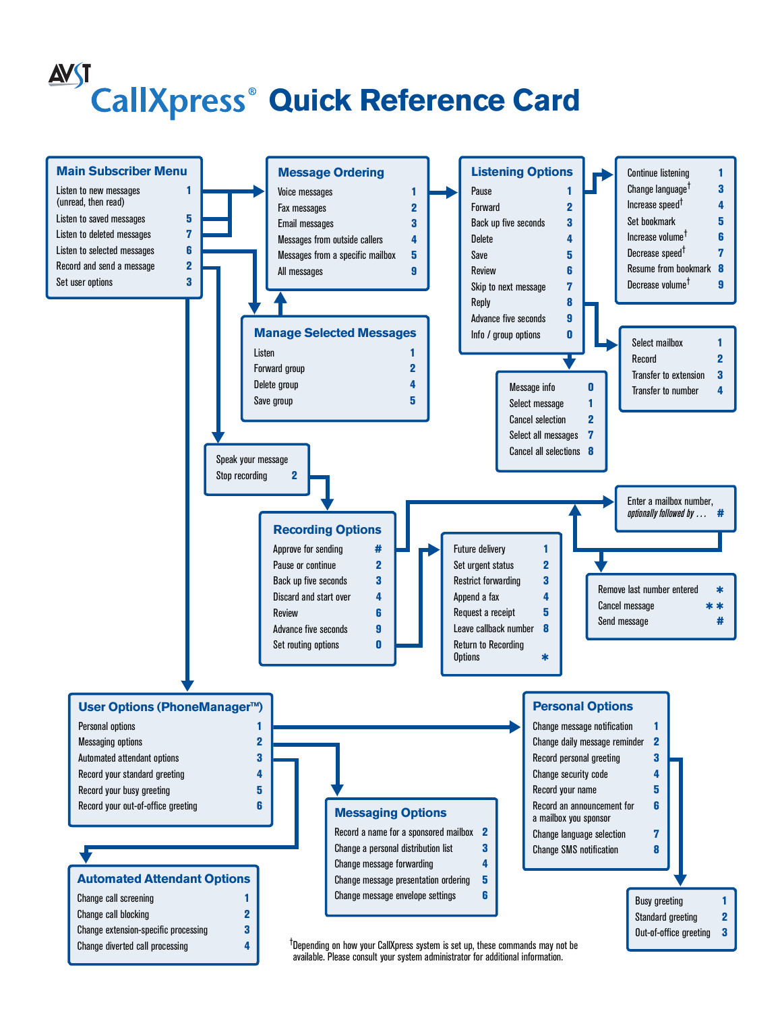# <u>AVST</u> **CallXpress<sup>®</sup> Quick Reference Card**